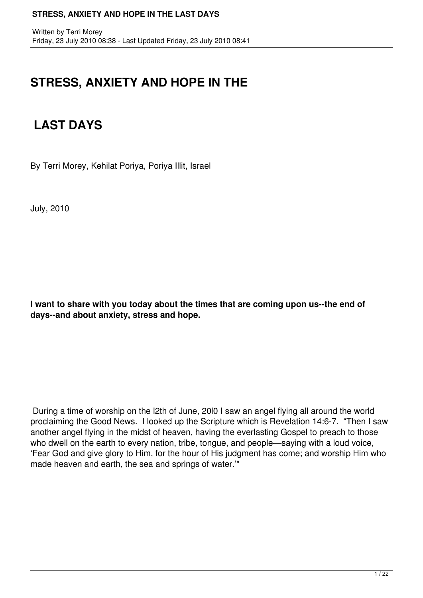## **STRESS, ANXIETY AND HOPE IN THE**

# **LAST DAYS**

By Terri Morey, Kehilat Poriya, Poriya Illit, Israel

July, 2010

**I want to share with you today about the times that are coming upon us--the end of days--and about anxiety, stress and hope.**

During a time of worship on the l2th of June, 20l0 I saw an angel flying all around the world proclaiming the Good News. I looked up the Scripture which is Revelation 14:6-7. "Then I saw another angel flying in the midst of heaven, having the everlasting Gospel to preach to those who dwell on the earth to every nation, tribe, tongue, and people—saying with a loud voice, 'Fear God and give glory to Him, for the hour of His judgment has come; and worship Him who made heaven and earth, the sea and springs of water.'"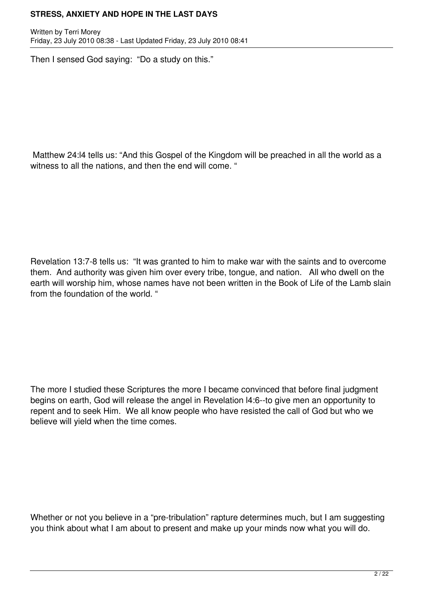Written by Terri Morey Friday, 23 July 2010 08:38 - Last Updated Friday, 23 July 2010 08:41

Then I sensed God saying: "Do a study on this."

Matthew 24:l4 tells us: "And this Gospel of the Kingdom will be preached in all the world as a witness to all the nations, and then the end will come. "

Revelation 13:7-8 tells us: "It was granted to him to make war with the saints and to overcome them. And authority was given him over every tribe, tongue, and nation. All who dwell on the earth will worship him, whose names have not been written in the Book of Life of the Lamb slain from the foundation of the world. "

The more I studied these Scriptures the more I became convinced that before final judgment begins on earth, God will release the angel in Revelation l4:6--to give men an opportunity to repent and to seek Him. We all know people who have resisted the call of God but who we believe will yield when the time comes.

Whether or not you believe in a "pre-tribulation" rapture determines much, but I am suggesting you think about what I am about to present and make up your minds now what you will do.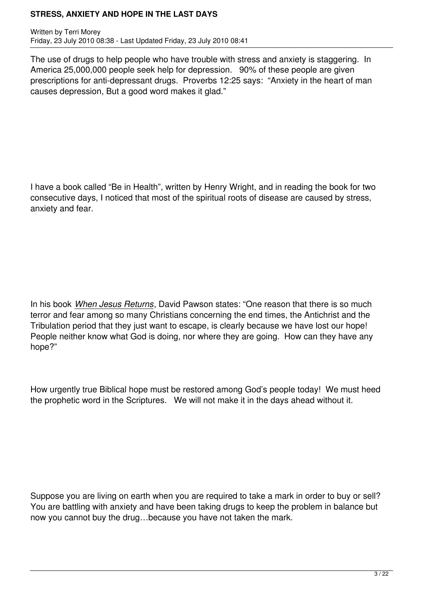Written by Terri Morey Friday, 23 July 2010 08:38 - Last Updated Friday, 23 July 2010 08:41

The use of drugs to help people who have trouble with stress and anxiety is staggering. In America 25,000,000 people seek help for depression. 90% of these people are given prescriptions for anti-depressant drugs. Proverbs 12:25 says: "Anxiety in the heart of man causes depression, But a good word makes it glad."

I have a book called "Be in Health", written by Henry Wright, and in reading the book for two consecutive days, I noticed that most of the spiritual roots of disease are caused by stress, anxiety and fear.

In his book *When Jesus Returns*, David Pawson states: "One reason that there is so much terror and fear among so many Christians concerning the end times, the Antichrist and the Tribulation period that they just want to escape, is clearly because we have lost our hope! People neither know what God is doing, nor where they are going. How can they have any hope?"

How urgently true Biblical hope must be restored among God's people today! We must heed the prophetic word in the Scriptures. We will not make it in the days ahead without it.

Suppose you are living on earth when you are required to take a mark in order to buy or sell? You are battling with anxiety and have been taking drugs to keep the problem in balance but now you cannot buy the drug…because you have not taken the mark.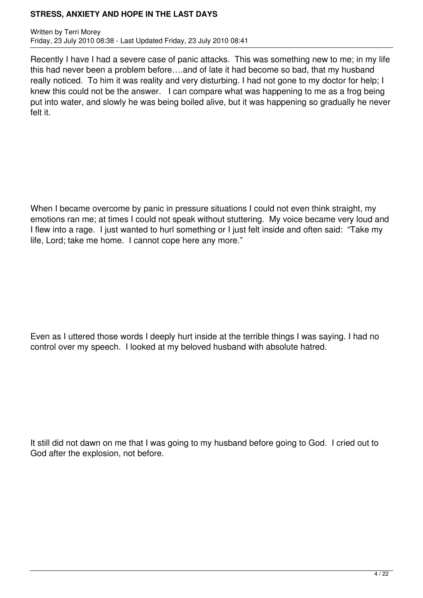Written by Terri Morey Friday, 23 July 2010 08:38 - Last Updated Friday, 23 July 2010 08:41

Recently I have I had a severe case of panic attacks. This was something new to me; in my life this had never been a problem before….and of late it had become so bad, that my husband really noticed. To him it was reality and very disturbing. I had not gone to my doctor for help; I knew this could not be the answer. I can compare what was happening to me as a frog being put into water, and slowly he was being boiled alive, but it was happening so gradually he never felt it.

When I became overcome by panic in pressure situations I could not even think straight, my emotions ran me; at times I could not speak without stuttering. My voice became very loud and I flew into a rage. I just wanted to hurl something or I just felt inside and often said: "Take my life, Lord; take me home. I cannot cope here any more."

Even as I uttered those words I deeply hurt inside at the terrible things I was saying. I had no control over my speech. I looked at my beloved husband with absolute hatred.

It still did not dawn on me that I was going to my husband before going to God. I cried out to God after the explosion, not before.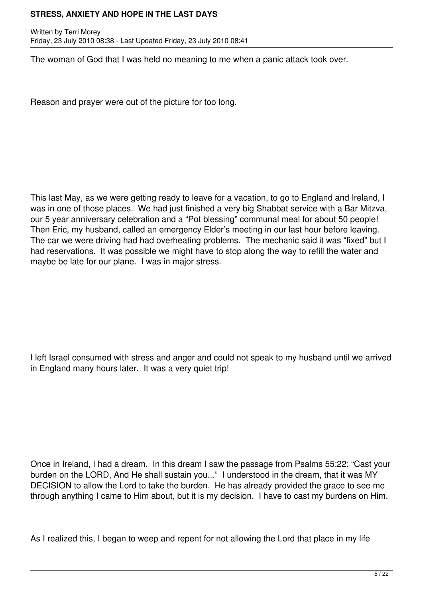Written by Terri Morey Friday, 23 July 2010 08:38 - Last Updated Friday, 23 July 2010 08:41

The woman of God that I was held no meaning to me when a panic attack took over.

Reason and prayer were out of the picture for too long.

This last May, as we were getting ready to leave for a vacation, to go to England and Ireland, I was in one of those places. We had just finished a very big Shabbat service with a Bar Mitzva, our 5 year anniversary celebration and a "Pot blessing" communal meal for about 50 people! Then Eric, my husband, called an emergency Elder's meeting in our last hour before leaving. The car we were driving had had overheating problems. The mechanic said it was "fixed" but I had reservations. It was possible we might have to stop along the way to refill the water and maybe be late for our plane. I was in major stress.

I left Israel consumed with stress and anger and could not speak to my husband until we arrived in England many hours later. It was a very quiet trip!

Once in Ireland, I had a dream. In this dream I saw the passage from Psalms 55:22: "Cast your burden on the LORD, And He shall sustain you..." I understood in the dream, that it was MY DECISION to allow the Lord to take the burden. He has already provided the grace to see me through anything I came to Him about, but it is my decision. I have to cast my burdens on Him.

As I realized this, I began to weep and repent for not allowing the Lord that place in my life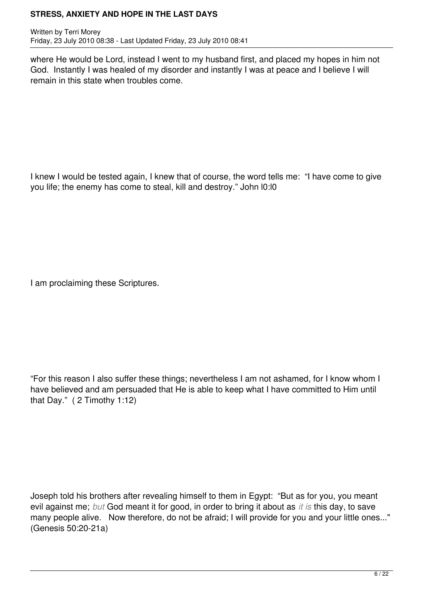Written by Terri Morey Friday, 23 July 2010 08:38 - Last Updated Friday, 23 July 2010 08:41

where He would be Lord, instead I went to my husband first, and placed my hopes in him not God. Instantly I was healed of my disorder and instantly I was at peace and I believe I will remain in this state when troubles come.

I knew I would be tested again, I knew that of course, the word tells me: "I have come to give you life; the enemy has come to steal, kill and destroy." John l0:l0

I am proclaiming these Scriptures.

"For this reason I also suffer these things; nevertheless I am not ashamed, for I know whom I have believed and am persuaded that He is able to keep what I have committed to Him until that Day." ( 2 Timothy 1:12)

Joseph told his brothers after revealing himself to them in Egypt: "But as for you, you meant evil against me; *but* God meant it for good, in order to bring it about as *it is* this day, to save many people alive. Now therefore, do not be afraid; I will provide for you and your little ones..." (Genesis 50:20-21a)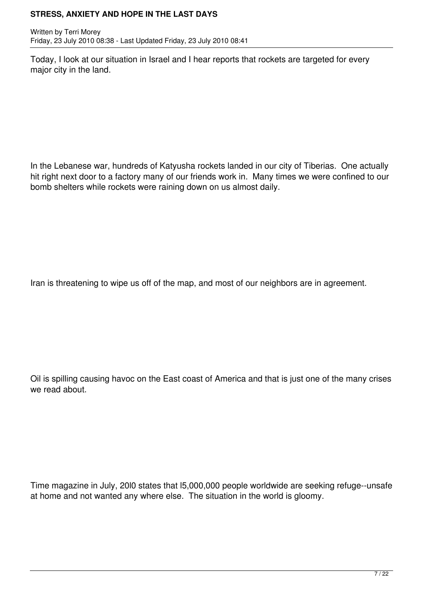Written by Terri Morey Friday, 23 July 2010 08:38 - Last Updated Friday, 23 July 2010 08:41

Today, I look at our situation in Israel and I hear reports that rockets are targeted for every major city in the land.

In the Lebanese war, hundreds of Katyusha rockets landed in our city of Tiberias. One actually hit right next door to a factory many of our friends work in. Many times we were confined to our bomb shelters while rockets were raining down on us almost daily.

Iran is threatening to wipe us off of the map, and most of our neighbors are in agreement.

Oil is spilling causing havoc on the East coast of America and that is just one of the many crises we read about.

Time magazine in July, 20l0 states that l5,000,000 people worldwide are seeking refuge--unsafe at home and not wanted any where else. The situation in the world is gloomy.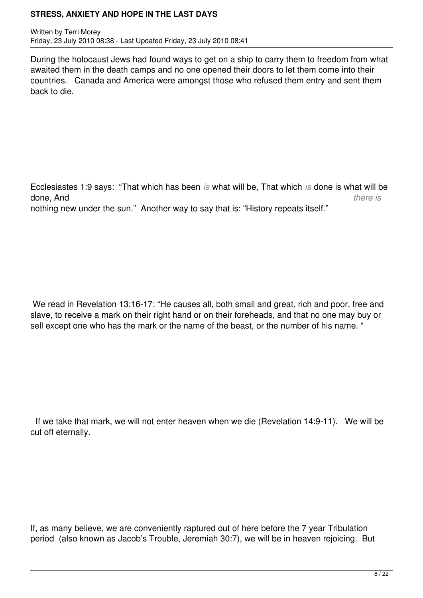Written by Terri Morey Friday, 23 July 2010 08:38 - Last Updated Friday, 23 July 2010 08:41

During the holocaust Jews had found ways to get on a ship to carry them to freedom from what awaited them in the death camps and no one opened their doors to let them come into their countries. Canada and America were amongst those who refused them entry and sent them back to die.

Ecclesiastes 1:9 says: "That which has been *is* what will be, That which *is* done is what will be done, And *there is* nothing new under the sun." Another way to say that is: "History repeats itself."

We read in Revelation 13:16-17: "He causes all, both small and great, rich and poor, free and slave, to receive a mark on their right hand or on their foreheads, and that no one may buy or sell except one who has the mark or the name of the beast, or the number of his name. "

 If we take that mark, we will not enter heaven when we die (Revelation 14:9-11). We will be cut off eternally.

If, as many believe, we are conveniently raptured out of here before the 7 year Tribulation period (also known as Jacob's Trouble, Jeremiah 30:7), we will be in heaven rejoicing. But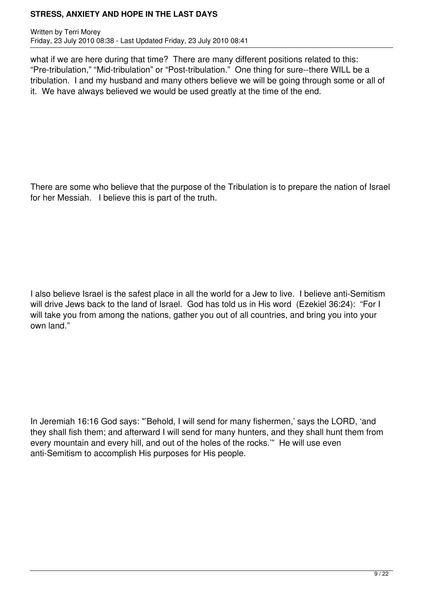Written by Terri Morey Friday, 23 July 2010 08:38 - Last Updated Friday, 23 July 2010 08:41

what if we are here during that time? There are many different positions related to this: "Pre-tribulation," "Mid-tribulation" or "Post-tribulation." One thing for sure--there WILL be a tribulation. I and my husband and many others believe we will be going through some or all of it. We have always believed we would be used greatly at the time of the end.

There are some who believe that the purpose of the Tribulation is to prepare the nation of Israel for her Messiah. I believe this is part of the truth.

I also believe Israel is the safest place in all the world for a Jew to live. I believe anti-Semitism will drive Jews back to the land of Israel. God has told us in His word (Ezekiel 36:24): "For I will take you from among the nations, gather you out of all countries, and bring you into your own land."

In Jeremiah 16:16 God says: "'Behold, I will send for many fishermen,' says the LORD, 'and they shall fish them; and afterward I will send for many hunters, and they shall hunt them from every mountain and every hill, and out of the holes of the rocks.'" He will use even anti-Semitism to accomplish His purposes for His people.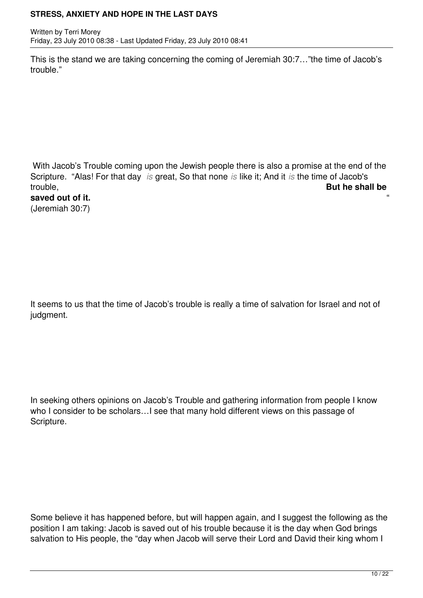Written by Terri Morey Friday, 23 July 2010 08:38 - Last Updated Friday, 23 July 2010 08:41

This is the stand we are taking concerning the coming of Jeremiah 30:7…"the time of Jacob's trouble."

With Jacob's Trouble coming upon the Jewish people there is also a promise at the end of the Scripture. "Alas! For that day *is* great, So that none *is* like it; And it *is* the time of Jacob's trouble, **But he shall be**

saved out of it. (Jeremiah 30:7)

It seems to us that the time of Jacob's trouble is really a time of salvation for Israel and not of judgment.

In seeking others opinions on Jacob's Trouble and gathering information from people I know who I consider to be scholars...I see that many hold different views on this passage of Scripture.

Some believe it has happened before, but will happen again, and I suggest the following as the position I am taking: Jacob is saved out of his trouble because it is the day when God brings salvation to His people, the "day when Jacob will serve their Lord and David their king whom I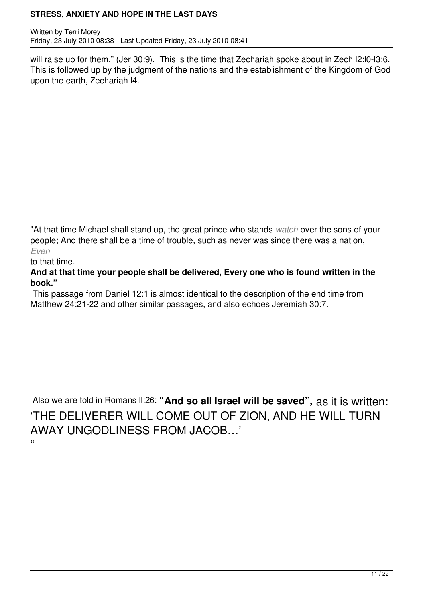Written by Terri Morey Friday, 23 July 2010 08:38 - Last Updated Friday, 23 July 2010 08:41

will raise up for them." (Jer 30:9). This is the time that Zechariah spoke about in Zech I2:10-13:6. This is followed up by the judgment of the nations and the establishment of the Kingdom of God upon the earth, Zechariah l4.

"At that time Michael shall stand up, the great prince who stands *watch* over the sons of your people; And there shall be a time of trouble, such as never was since there was a nation, *Even*

to that time.

## **And at that time your people shall be delivered, Every one who is found written in the book."**

 This passage from Daniel 12:1 is almost identical to the description of the end time from Matthew 24:21-22 and other similar passages, and also echoes Jeremiah 30:7.

Also we are told in Romans ll:26: **"And so all Israel will be saved",** as it is written: 'THE DELIVERER WILL COME OUT OF ZION, AND HE WILL TURN AWAY UNGODLINESS FROM JACOB…'  $\alpha$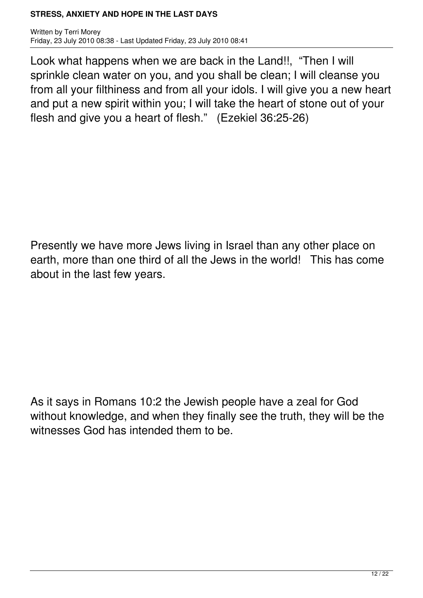Written by Terri Morey Friday, 23 July 2010 08:38 - Last Updated Friday, 23 July 2010 08:41

Look what happens when we are back in the Land!!, "Then I will sprinkle clean water on you, and you shall be clean; I will cleanse you from all your filthiness and from all your idols. I will give you a new heart and put a new spirit within you; I will take the heart of stone out of your flesh and give you a heart of flesh." (Ezekiel 36:25-26)

Presently we have more Jews living in Israel than any other place on earth, more than one third of all the Jews in the world! This has come about in the last few years.

As it says in Romans 10:2 the Jewish people have a zeal for God without knowledge, and when they finally see the truth, they will be the witnesses God has intended them to be.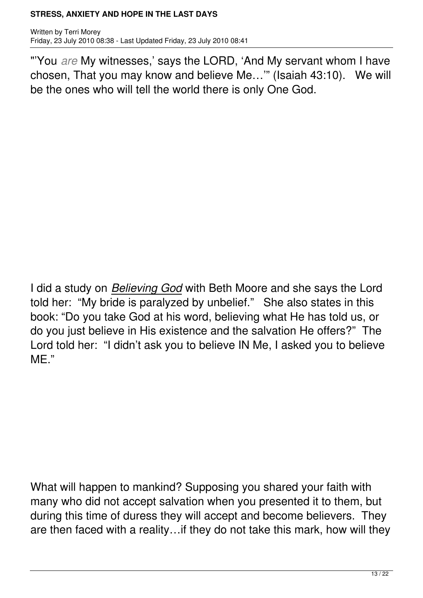Written by Terri Morey Friday, 23 July 2010 08:38 - Last Updated Friday, 23 July 2010 08:41

"'You *are* My witnesses,' says the LORD, 'And My servant whom I have chosen, That you may know and believe Me…'" (Isaiah 43:10). We will be the ones who will tell the world there is only One God.

I did a study on *Believing God* with Beth Moore and she says the Lord told her: "My bride is paralyzed by unbelief." She also states in this book: "Do you take God at his word, believing what He has told us, or do you just believe in His existence and the salvation He offers?" The Lord told her: "I didn't ask you to believe IN Me, I asked you to believe ME."

What will happen to mankind? Supposing you shared your faith with many who did not accept salvation when you presented it to them, but during this time of duress they will accept and become believers. They are then faced with a reality…if they do not take this mark, how will they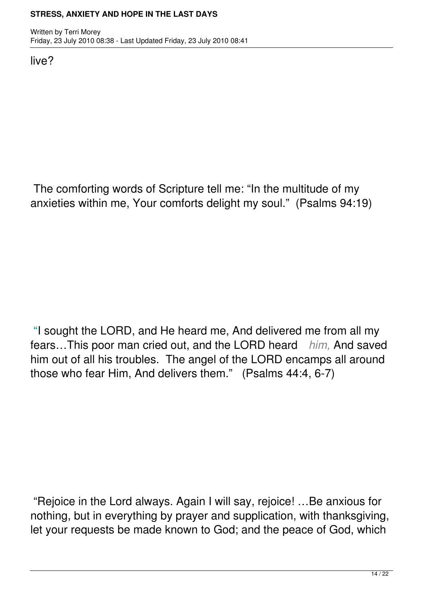live?

The comforting words of Scripture tell me: "In the multitude of my anxieties within me, Your comforts delight my soul." (Psalms 94:19)

"I sought the LORD, and He heard me, And delivered me from all my fears…This poor man cried out, and the LORD heard *him,* And saved him out of all his troubles. The angel of the LORD encamps all around those who fear Him, And delivers them." (Psalms 44:4, 6-7)

 "Rejoice in the Lord always. Again I will say, rejoice! …Be anxious for nothing, but in everything by prayer and supplication, with thanksgiving, let your requests be made known to God; and the peace of God, which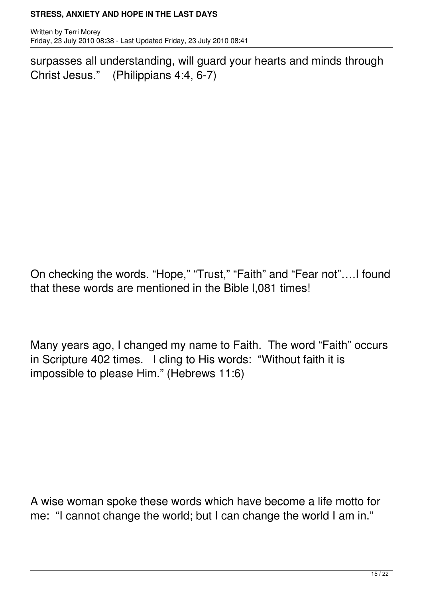Written by Terri Morey Friday, 23 July 2010 08:38 - Last Updated Friday, 23 July 2010 08:41

surpasses all understanding, will guard your hearts and minds through Christ Jesus." (Philippians 4:4, 6-7)

On checking the words. "Hope," "Trust," "Faith" and "Fear not"….I found that these words are mentioned in the Bible l,081 times!

Many years ago, I changed my name to Faith. The word "Faith" occurs in Scripture 402 times. I cling to His words: "Without faith it is impossible to please Him." (Hebrews 11:6)

A wise woman spoke these words which have become a life motto for me: "I cannot change the world; but I can change the world I am in."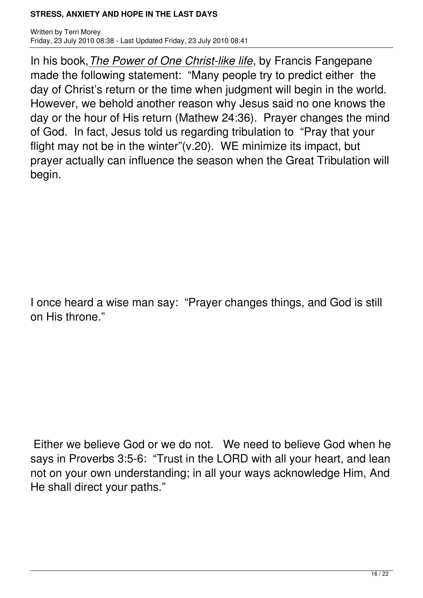Written by Terri Morey Friday, 23 July 2010 08:38 - Last Updated Friday, 23 July 2010 08:41

In his book,*The Power of One Christ-like life*, by Francis Fangepane made the following statement: "Many people try to predict either the day of Christ's return or the time when judgment will begin in the world. However, we behold another reason why Jesus said no one knows the day or the hour of His return (Mathew 24:36). Prayer changes the mind of God. In fact, Jesus told us regarding tribulation to "Pray that your flight may not be in the winter"(v.20). WE minimize its impact, but prayer actually can influence the season when the Great Tribulation will begin.

I once heard a wise man say: "Prayer changes things, and God is still on His throne."

Either we believe God or we do not. We need to believe God when he says in Proverbs 3:5-6: "Trust in the LORD with all your heart, and lean not on your own understanding; in all your ways acknowledge Him, And He shall direct your paths."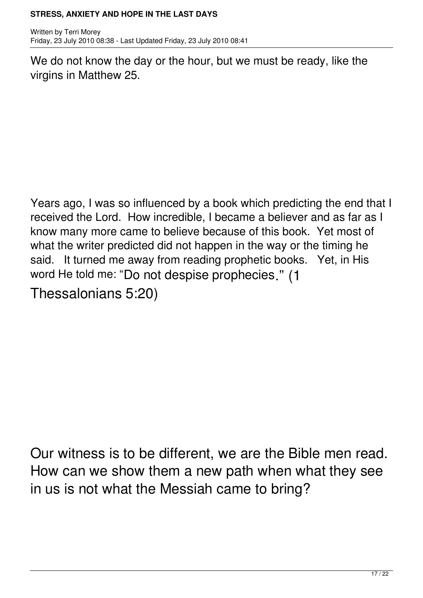Written by Terri Morey Friday, 23 July 2010 08:38 - Last Updated Friday, 23 July 2010 08:41

We do not know the day or the hour, but we must be ready, like the virgins in Matthew 25.

Years ago, I was so influenced by a book which predicting the end that I received the Lord. How incredible, I became a believer and as far as I know many more came to believe because of this book. Yet most of what the writer predicted did not happen in the way or the timing he said. It turned me away from reading prophetic books. Yet, in His word He told me: "Do not despise prophecies." (1

Thessalonians 5:20)

Our witness is to be different, we are the Bible men read. How can we show them a new path when what they see in us is not what the Messiah came to bring?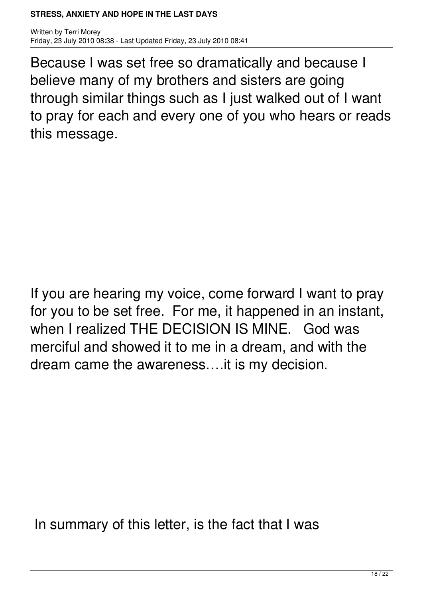Written by Terri Morey Friday, 23 July 2010 08:38 - Last Updated Friday, 23 July 2010 08:41

Because I was set free so dramatically and because I believe many of my brothers and sisters are going through similar things such as I just walked out of I want to pray for each and every one of you who hears or reads this message.

If you are hearing my voice, come forward I want to pray for you to be set free. For me, it happened in an instant, when I realized THE DECISION IS MINE. God was merciful and showed it to me in a dream, and with the dream came the awareness….it is my decision.

In summary of this letter, is the fact that I was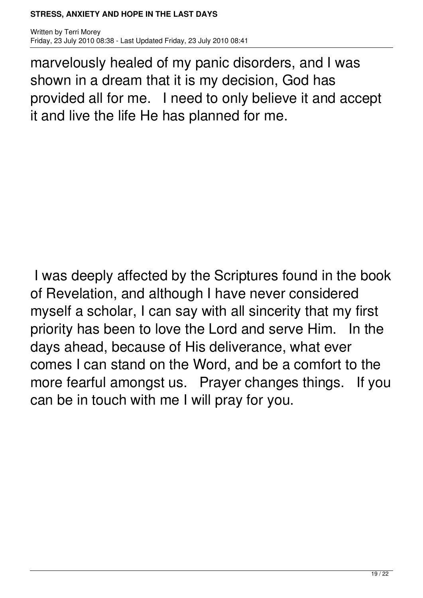Written by Terri Morey Friday, 23 July 2010 08:38 - Last Updated Friday, 23 July 2010 08:41

marvelously healed of my panic disorders, and I was shown in a dream that it is my decision, God has provided all for me. I need to only believe it and accept it and live the life He has planned for me.

I was deeply affected by the Scriptures found in the book of Revelation, and although I have never considered myself a scholar, I can say with all sincerity that my first priority has been to love the Lord and serve Him. In the days ahead, because of His deliverance, what ever comes I can stand on the Word, and be a comfort to the more fearful amongst us. Prayer changes things. If you can be in touch with me I will pray for you.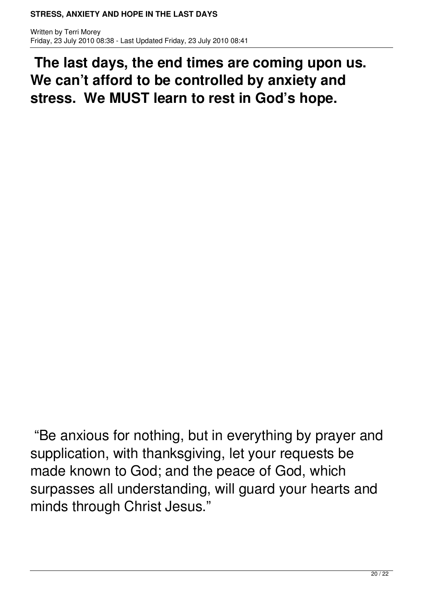Written by Terri Morey Friday, 23 July 2010 08:38 - Last Updated Friday, 23 July 2010 08:41

**The last days, the end times are coming upon us. We can't afford to be controlled by anxiety and stress. We MUST learn to rest in God's hope.** 

 "Be anxious for nothing, but in everything by prayer and supplication, with thanksgiving, let your requests be made known to God; and the peace of God, which surpasses all understanding, will guard your hearts and minds through Christ Jesus."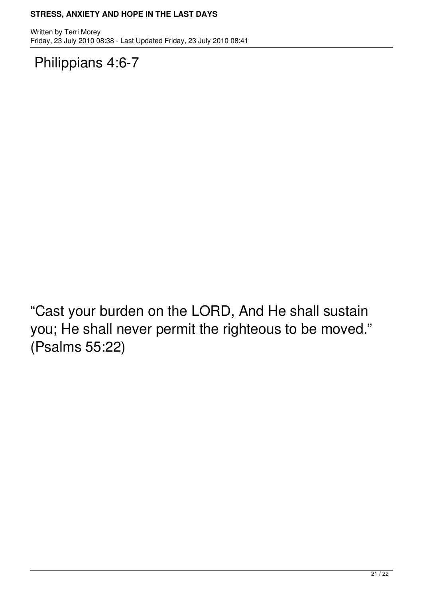Written by Terri Morey Friday, 23 July 2010 08:38 - Last Updated Friday, 23 July 2010 08:41

Philippians 4:6-7

"Cast your burden on the LORD, And He shall sustain you; He shall never permit the righteous to be moved." (Psalms 55:22)